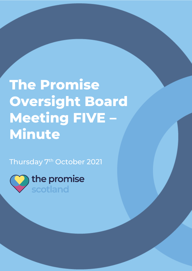## **The Promise Oversight Board Meeting FIVE – Minute**

The Promise Oversight Board Meeting FIVE

Thursday 7<sup>th</sup> October 2021

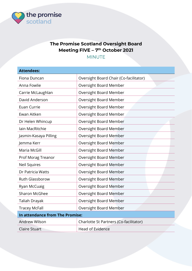

## The Promise Scotland Oversight Board Meeting FIVE - 7<sup>th</sup> October 2021

MINUTE

| <b>Attendees:</b>               |                                        |  |
|---------------------------------|----------------------------------------|--|
| Fiona Duncan                    | Oversight Board Chair (Co-facilitator) |  |
| Anna Fowlie                     | Oversight Board Member                 |  |
| Carrie McLaughlan               | Oversight Board Member                 |  |
| David Anderson                  | Oversight Board Member                 |  |
| Euan Currie                     | Oversight Board Member                 |  |
| Ewan Aitken                     | Oversight Board Member                 |  |
| Dr Helen Whincup                | Oversight Board Member                 |  |
| <b>lain MacRitchie</b>          | <b>Oversight Board Member</b>          |  |
| Jasmin-Kasaya Pilling           | <b>Oversight Board Member</b>          |  |
| Jemma Kerr                      | Oversight Board Member                 |  |
| Maria McGill                    | Oversight Board Member                 |  |
| Prof Morag Treanor              | <b>Oversight Board Member</b>          |  |
| <b>Neil Squires</b>             | Oversight Board Member                 |  |
| Dr Patricia Watts               | Oversight Board Member                 |  |
| <b>Ruth Glassborow</b>          | <b>Oversight Board Member</b>          |  |
| Ryan McCuaig                    | Oversight Board Member                 |  |
| <b>Sharon McGhee</b>            | Oversight Board Member                 |  |
| Taliah Drayak                   | <b>Oversight Board Member</b>          |  |
| <b>Tracey McFall</b>            | Oversight Board Member                 |  |
| In attendance from The Promise: |                                        |  |
| <b>Andrew Wilson</b>            | Charlotte St Partners (Co-facilitator) |  |
| <b>Claire Stuart</b>            | <b>Head of Evidence</b>                |  |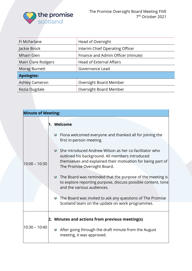

| Fi McFarlane        | Head of Oversight                  |  |
|---------------------|------------------------------------|--|
| Jackie Brock        | Interim Chief Operating Officer    |  |
| Mhairi Glen         | Finance and Admin Officer (minute) |  |
| Mairi Clare Rodgers | <b>Head of External Affairs</b>    |  |
| Morag Burnett       | Governance Lead                    |  |
| <b>Apologies:</b>   |                                    |  |
| Ashley Cameron      | Oversight Board Member             |  |
| Kezia Dugdale       | Oversight Board Member             |  |

| <b>Minute of Meeting:</b> |           |                                                                                                                                                                                                          |
|---------------------------|-----------|----------------------------------------------------------------------------------------------------------------------------------------------------------------------------------------------------------|
|                           |           | 1. Welcome                                                                                                                                                                                               |
| $10:00 - 10:30$           | $\bullet$ | Fiona welcomed everyone and thanked all for joining the<br>first in-person meeting.                                                                                                                      |
|                           |           | She introduced Andrew Wilson as her co-facilitator who<br>outlined his background. All members introduced<br>themselves and explained their motivation for being part of<br>The Promise Oversight Board. |
|                           |           | $\bullet$ The Board was reminded that the purpose of the meeting is<br>to explore reporting purpose, discuss possible content, tone<br>and the various audiences.                                        |
|                           | $\bullet$ | The Board was invited to ask any questions of The Promise<br>Scotland team on the update on work programmes.                                                                                             |
|                           |           |                                                                                                                                                                                                          |
| 10:30 - 10:40             |           | 2. Minutes and actions from previous meeting(s)                                                                                                                                                          |
|                           |           | • After going through the draft minute from the August<br>meeting, it was approved.                                                                                                                      |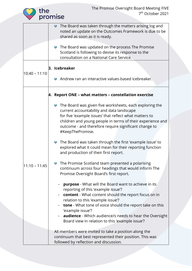|                 | the | The Promise Oversight Board Meeting FIVE<br>7 <sup>th</sup> October 2021<br>promise                                                                                                                                                                                                                                                                                                          |
|-----------------|-----|----------------------------------------------------------------------------------------------------------------------------------------------------------------------------------------------------------------------------------------------------------------------------------------------------------------------------------------------------------------------------------------------|
|                 |     | The Board was taken through the matters arising log and<br>$\bullet$<br>noted an update on the Outcomes Framework is due to be<br>shared as soon as it is ready.                                                                                                                                                                                                                             |
|                 |     | • The Board was updated on the process The Promise<br>Scotland is following to devise its response to the<br>consultation on a National Care Service.                                                                                                                                                                                                                                        |
|                 |     | 3. Icebreaker                                                                                                                                                                                                                                                                                                                                                                                |
| $10:40 - 11:10$ |     | Andrew ran an interactive values-based icebreaker.                                                                                                                                                                                                                                                                                                                                           |
|                 |     | 4. Report ONE - what matters - constellation exercise                                                                                                                                                                                                                                                                                                                                        |
| $11:10 - 11:45$ |     | • The Board was given five worksheets, each exploring the<br>current accountability and data landscape<br>for five 'example issues' that reflect what matters to<br>children and young people in terms of their experience and<br>outcome - and therefore require significant change to<br>#KeepThePromise.                                                                                  |
|                 |     | The Board was taken through the first 'example issue' to<br>$\bullet$<br>explored what it could mean for their reporting function<br>and production of their first report.                                                                                                                                                                                                                   |
|                 |     | The Promise Scotland team presented a polarising<br>$\bullet$<br>continuum across four headings that would inform The<br>Promise Oversight Board's first report.                                                                                                                                                                                                                             |
|                 |     | <b>purpose</b> - What will the Board want to achieve in its<br>reporting of this 'example issue'?<br>content - What content should the report focus on in<br>relation to this 'example issue'?<br>tone - What tone of voice should the report take on this<br>'example issue'?<br>audience - Which audience/s needs to hear the Oversight<br>Board view in relation to this 'example issue'? |
|                 |     | All members were invited to take a position along the<br>continuum that best represented their position. This was<br>followed by reflection and discussion.                                                                                                                                                                                                                                  |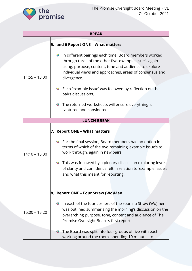

| <b>BREAK</b>    |                                                                                                                                                                                                                                                                 |  |
|-----------------|-----------------------------------------------------------------------------------------------------------------------------------------------------------------------------------------------------------------------------------------------------------------|--|
|                 | 5. and 6 Report ONE - What matters                                                                                                                                                                                                                              |  |
| $11:55 - 13.00$ | In different pairings each time, Board members worked<br>$\bullet$<br>through three of the other five 'example issue's again<br>using: purpose, content, tone and audience to explore<br>individual views and approaches, areas of consensus and<br>divergence. |  |
|                 | Each 'example issue' was followed by reflection on the<br>$\bullet$<br>pairs discussions.                                                                                                                                                                       |  |
|                 | • The returned worksheets will ensure everything is<br>captured and considered.                                                                                                                                                                                 |  |
|                 | <b>LUNCH BREAK</b>                                                                                                                                                                                                                                              |  |
|                 | 7. Report ONE - What matters                                                                                                                                                                                                                                    |  |
| $14:10 - 15:00$ | • For the final session, Board members had an option in<br>terms of which of the two remaining 'example issue's to<br>work through, again in new pairs.                                                                                                         |  |
|                 | This was followed by a plenary discussion exploring levels<br>$\bullet$<br>of clarity and confidence felt in relation to 'example issue's<br>and what this meant for reporting.                                                                                 |  |
|                 | 8. Report ONE – Four Straw (Wo)Men                                                                                                                                                                                                                              |  |
| 15:00 – 15:20   | In each of the four corners of the room, a Straw (Wo)men<br>$\bullet$<br>was outlined summarising the morning's discussion on the<br>overarching purpose, tone, content and audience of The<br>Promise Oversight Board's first report.                          |  |
|                 | The Board was split into four groups of five with each<br>working around the room, spending 10 minutes to                                                                                                                                                       |  |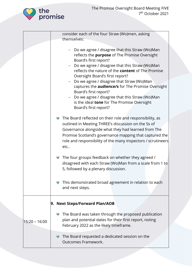

|               | consider each of the four Straw (Wo)men, asking                                                                                                                                                                                                                                                                                                                                                                                                                                                                                               |
|---------------|-----------------------------------------------------------------------------------------------------------------------------------------------------------------------------------------------------------------------------------------------------------------------------------------------------------------------------------------------------------------------------------------------------------------------------------------------------------------------------------------------------------------------------------------------|
|               | themselves:                                                                                                                                                                                                                                                                                                                                                                                                                                                                                                                                   |
|               | - Do we agree / disagree that this Straw (Wo)Man<br>reflects the purpose of The Promise Oversight<br>Board's first report?<br>- Do we agree / disagree that this Straw (Wo)Man<br>reflects the nature of the <b>content</b> of The Promise<br>Oversight Board's first report?<br>- Do we agree / disagree that Straw (Wo)Man<br>captures the <b>audience/s</b> for The Promise Oversight<br>Board's first report?<br>- Do we agree / disagree that this Straw (Wo)Man<br>is the ideal tone for The Promise Oversight<br>Board's first report? |
|               | • The Board reflected on their role and responsibility, as<br>outlined in Meeting THREE's discussion on the 5s of<br>Governance alongside what they had learned from The<br>Promise Scotland's governance mapping that captured the<br>role and responsibility of the many inspectors / scrutineers<br>etc                                                                                                                                                                                                                                    |
|               | • The four groups feedback on whether they agreed /<br>disagreed with each Straw (Wo)Man from a scale from 1 to<br>5, followed by a plenary discussion.                                                                                                                                                                                                                                                                                                                                                                                       |
|               | This demonstrated broad agreement in relation to each<br>and next steps.                                                                                                                                                                                                                                                                                                                                                                                                                                                                      |
|               | 9. Next Steps/Forward Plan/AOB                                                                                                                                                                                                                                                                                                                                                                                                                                                                                                                |
| 15:20 - 16:00 | The Board was taken through the proposed publication<br>$\bullet$<br>plan and potential dates for their first report, noting<br>February 2022 as the likely timeframe.                                                                                                                                                                                                                                                                                                                                                                        |
|               | The Board requested a dedicated session on the<br>$\bullet$<br><b>Outcomes Framework.</b>                                                                                                                                                                                                                                                                                                                                                                                                                                                     |